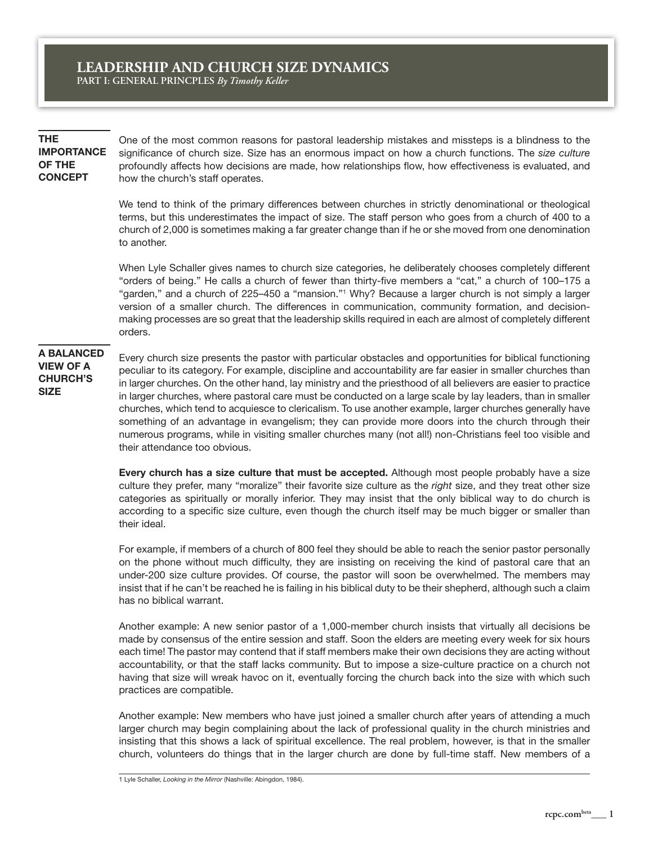**THE IMPORTANCE OF THE CONCEPT**

One of the most common reasons for pastoral leadership mistakes and missteps is a blindness to the significance of church size. Size has an enormous impact on how a church functions. The *size culture*  profoundly affects how decisions are made, how relationships flow, how effectiveness is evaluated, and how the church's staff operates.

We tend to think of the primary differences between churches in strictly denominational or theological terms, but this underestimates the impact of size. The staff person who goes from a church of 400 to a church of 2,000 is sometimes making a far greater change than if he or she moved from one denomination to another.

When Lyle Schaller gives names to church size categories, he deliberately chooses completely different "orders of being." He calls a church of fewer than thirty-five members a "cat," a church of 100–175 a "garden," and a church of 225–450 a "mansion."1 Why? Because a larger church is not simply a larger version of a smaller church. The differences in communication, community formation, and decisionmaking processes are so great that the leadership skills required in each are almost of completely different orders.

# **A BALANCED VIEW OF A CHURCH'S SIZE**

Every church size presents the pastor with particular obstacles and opportunities for biblical functioning peculiar to its category. For example, discipline and accountability are far easier in smaller churches than in larger churches. On the other hand, lay ministry and the priesthood of all believers are easier to practice in larger churches, where pastoral care must be conducted on a large scale by lay leaders, than in smaller churches, which tend to acquiesce to clericalism. To use another example, larger churches generally have something of an advantage in evangelism; they can provide more doors into the church through their numerous programs, while in visiting smaller churches many (not all!) non-Christians feel too visible and their attendance too obvious.

**Every church has a size culture that must be accepted.** Although most people probably have a size culture they prefer, many "moralize" their favorite size culture as the *right* size, and they treat other size categories as spiritually or morally inferior. They may insist that the only biblical way to do church is according to a specific size culture, even though the church itself may be much bigger or smaller than their ideal.

For example, if members of a church of 800 feel they should be able to reach the senior pastor personally on the phone without much difficulty, they are insisting on receiving the kind of pastoral care that an under-200 size culture provides. Of course, the pastor will soon be overwhelmed. The members may insist that if he can't be reached he is failing in his biblical duty to be their shepherd, although such a claim has no biblical warrant.

Another example: A new senior pastor of a 1,000-member church insists that virtually all decisions be made by consensus of the entire session and staff. Soon the elders are meeting every week for six hours each time! The pastor may contend that if staff members make their own decisions they are acting without accountability, or that the staff lacks community. But to impose a size-culture practice on a church not having that size will wreak havoc on it, eventually forcing the church back into the size with which such practices are compatible.

Another example: New members who have just joined a smaller church after years of attending a much larger church may begin complaining about the lack of professional quality in the church ministries and insisting that this shows a lack of spiritual excellence. The real problem, however, is that in the smaller church, volunteers do things that in the larger church are done by full-time staff. New members of a

1 Lyle Schaller, *Looking in the Mirror* (Nashville: Abingdon, 1984).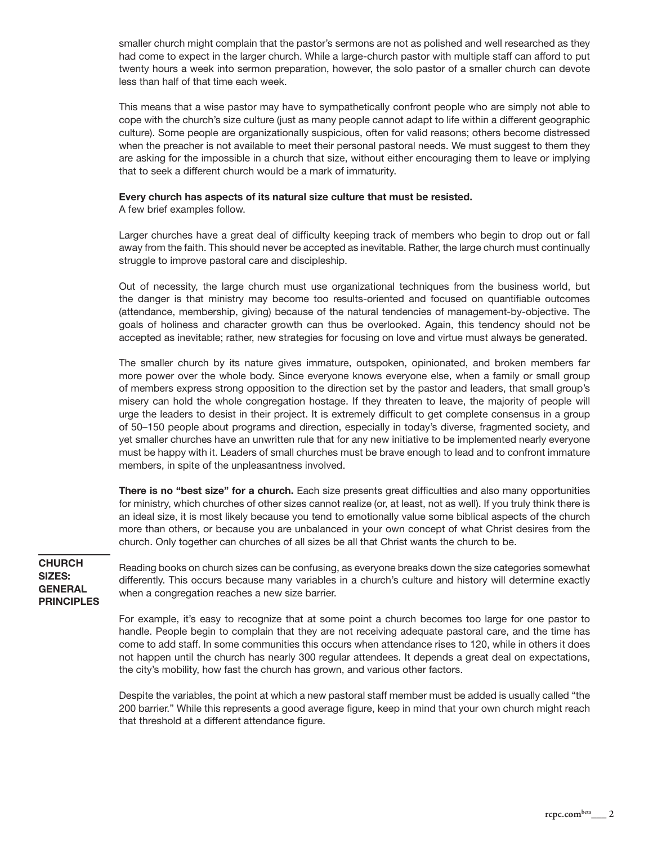smaller church might complain that the pastor's sermons are not as polished and well researched as they had come to expect in the larger church. While a large-church pastor with multiple staff can afford to put twenty hours a week into sermon preparation, however, the solo pastor of a smaller church can devote less than half of that time each week.

This means that a wise pastor may have to sympathetically confront people who are simply not able to cope with the church's size culture (just as many people cannot adapt to life within a different geographic culture). Some people are organizationally suspicious, often for valid reasons; others become distressed when the preacher is not available to meet their personal pastoral needs. We must suggest to them they are asking for the impossible in a church that size, without either encouraging them to leave or implying that to seek a different church would be a mark of immaturity.

### **Every church has aspects of its natural size culture that must be resisted.**

A few brief examples follow.

Larger churches have a great deal of difficulty keeping track of members who begin to drop out or fall away from the faith. This should never be accepted as inevitable. Rather, the large church must continually struggle to improve pastoral care and discipleship.

Out of necessity, the large church must use organizational techniques from the business world, but the danger is that ministry may become too results-oriented and focused on quantifiable outcomes (attendance, membership, giving) because of the natural tendencies of management-by-objective. The goals of holiness and character growth can thus be overlooked. Again, this tendency should not be accepted as inevitable; rather, new strategies for focusing on love and virtue must always be generated.

The smaller church by its nature gives immature, outspoken, opinionated, and broken members far more power over the whole body. Since everyone knows everyone else, when a family or small group of members express strong opposition to the direction set by the pastor and leaders, that small group's misery can hold the whole congregation hostage. If they threaten to leave, the majority of people will urge the leaders to desist in their project. It is extremely difficult to get complete consensus in a group of 50–150 people about programs and direction, especially in today's diverse, fragmented society, and yet smaller churches have an unwritten rule that for any new initiative to be implemented nearly everyone must be happy with it. Leaders of small churches must be brave enough to lead and to confront immature members, in spite of the unpleasantness involved.

**There is no "best size" for a church.** Each size presents great difficulties and also many opportunities for ministry, which churches of other sizes cannot realize (or, at least, not as well). If you truly think there is an ideal size, it is most likely because you tend to emotionally value some biblical aspects of the church more than others, or because you are unbalanced in your own concept of what Christ desires from the church. Only together can churches of all sizes be all that Christ wants the church to be.

**CHURCH SIZES: GENERAL PRINCIPLES**

Reading books on church sizes can be confusing, as everyone breaks down the size categories somewhat differently. This occurs because many variables in a church's culture and history will determine exactly when a congregation reaches a new size barrier.

For example, it's easy to recognize that at some point a church becomes too large for one pastor to handle. People begin to complain that they are not receiving adequate pastoral care, and the time has come to add staff. In some communities this occurs when attendance rises to 120, while in others it does not happen until the church has nearly 300 regular attendees. It depends a great deal on expectations, the city's mobility, how fast the church has grown, and various other factors.

Despite the variables, the point at which a new pastoral staff member must be added is usually called "the 200 barrier." While this represents a good average figure, keep in mind that your own church might reach that threshold at a different attendance figure.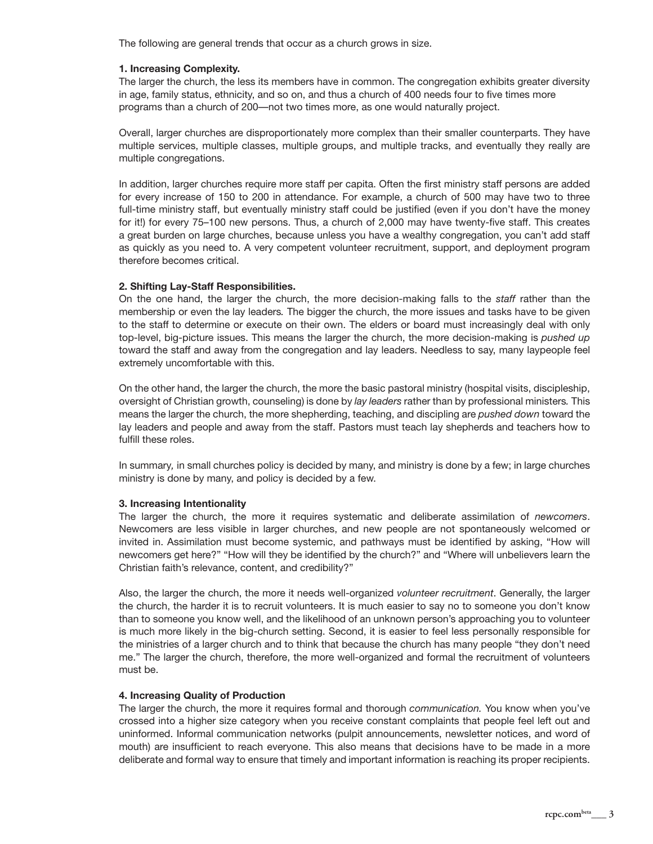The following are general trends that occur as a church grows in size.

### **1. Increasing Complexity.**

The larger the church, the less its members have in common. The congregation exhibits greater diversity in age, family status, ethnicity, and so on, and thus a church of 400 needs four to five times more programs than a church of 200—not two times more, as one would naturally project.

Overall, larger churches are disproportionately more complex than their smaller counterparts. They have multiple services, multiple classes, multiple groups, and multiple tracks, and eventually they really are multiple congregations.

In addition, larger churches require more staff per capita. Often the first ministry staff persons are added for every increase of 150 to 200 in attendance. For example, a church of 500 may have two to three full-time ministry staff, but eventually ministry staff could be justified (even if you don't have the money for it!) for every 75–100 new persons. Thus, a church of 2,000 may have twenty-five staff. This creates a great burden on large churches, because unless you have a wealthy congregation, you can't add staff as quickly as you need to. A very competent volunteer recruitment, support, and deployment program therefore becomes critical.

## **2. Shifting Lay-Staff Responsibilities.**

On the one hand, the larger the church, the more decision-making falls to the *staff* rather than the membership or even the lay leaders*.* The bigger the church, the more issues and tasks have to be given to the staff to determine or execute on their own. The elders or board must increasingly deal with only top-level, big-picture issues. This means the larger the church, the more decision-making is *pushed up*  toward the staff and away from the congregation and lay leaders. Needless to say, many laypeople feel extremely uncomfortable with this.

On the other hand, the larger the church, the more the basic pastoral ministry (hospital visits, discipleship, oversight of Christian growth, counseling) is done by *lay leaders* rather than by professional ministers*.* This means the larger the church, the more shepherding, teaching, and discipling are *pushed down* toward the lay leaders and people and away from the staff. Pastors must teach lay shepherds and teachers how to fulfill these roles.

In summary*,* in small churches policy is decided by many, and ministry is done by a few; in large churches ministry is done by many, and policy is decided by a few.

### **3. Increasing Intentionality**

The larger the church, the more it requires systematic and deliberate assimilation of *newcomers*. Newcomers are less visible in larger churches, and new people are not spontaneously welcomed or invited in. Assimilation must become systemic, and pathways must be identified by asking, "How will newcomers get here?" "How will they be identified by the church?" and "Where will unbelievers learn the Christian faith's relevance, content, and credibility?"

Also, the larger the church, the more it needs well-organized *volunteer recruitment*. Generally, the larger the church, the harder it is to recruit volunteers. It is much easier to say no to someone you don't know than to someone you know well, and the likelihood of an unknown person's approaching you to volunteer is much more likely in the big-church setting. Second, it is easier to feel less personally responsible for the ministries of a larger church and to think that because the church has many people "they don't need me." The larger the church, therefore, the more well-organized and formal the recruitment of volunteers must be.

### **4. Increasing Quality of Production**

The larger the church, the more it requires formal and thorough *communication.* You know when you've crossed into a higher size category when you receive constant complaints that people feel left out and uninformed. Informal communication networks (pulpit announcements, newsletter notices, and word of mouth) are insufficient to reach everyone. This also means that decisions have to be made in a more deliberate and formal way to ensure that timely and important information is reaching its proper recipients.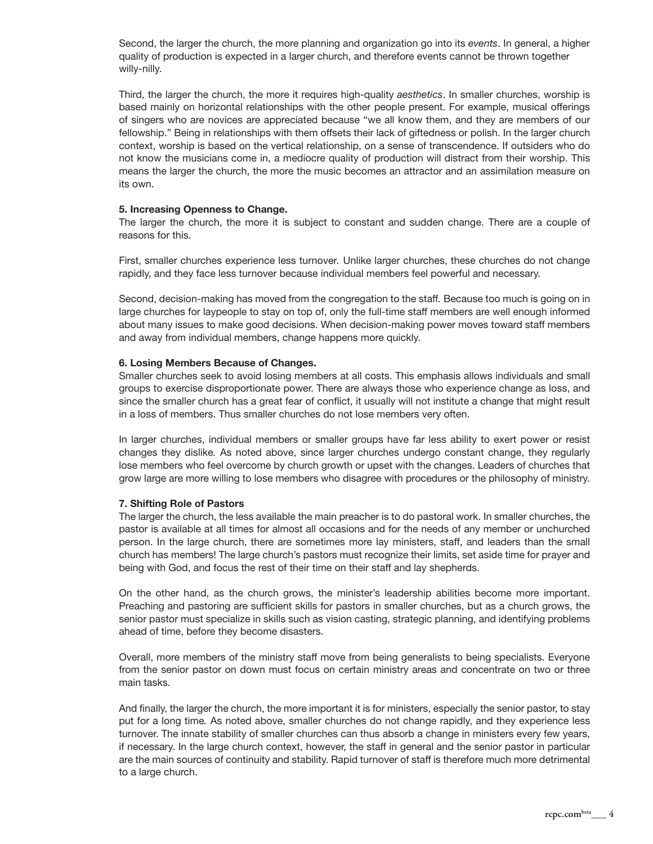Second, the larger the church, the more planning and organization go into its *events*. In general, a higher quality of production is expected in a larger church, and therefore events cannot be thrown together willy-nilly.

Third, the larger the church, the more it requires high-quality *aesthetics*. In smaller churches, worship is based mainly on horizontal relationships with the other people present. For example, musical offerings of singers who are novices are appreciated because "we all know them, and they are members of our fellowship." Being in relationships with them offsets their lack of giftedness or polish. In the larger church context, worship is based on the vertical relationship, on a sense of transcendence. If outsiders who do not know the musicians come in, a mediocre quality of production will distract from their worship. This means the larger the church, the more the music becomes an attractor and an assimilation measure on its own.

### **5. Increasing Openness to Change.**

The larger the church, the more it is subject to constant and sudden change. There are a couple of reasons for this.

First, smaller churches experience less turnover*.* Unlike larger churches, these churches do not change rapidly, and they face less turnover because individual members feel powerful and necessary.

Second, decision-making has moved from the congregation to the staff*.* Because too much is going on in large churches for laypeople to stay on top of, only the full-time staff members are well enough informed about many issues to make good decisions. When decision-making power moves toward staff members and away from individual members, change happens more quickly.

# **6. Losing Members Because of Changes.**

Smaller churches seek to avoid losing members at all costs. This emphasis allows individuals and small groups to exercise disproportionate power. There are always those who experience change as loss, and since the smaller church has a great fear of conflict, it usually will not institute a change that might result in a loss of members. Thus smaller churches do not lose members very often.

In larger churches, individual members or smaller groups have far less ability to exert power or resist changes they dislike*.* As noted above, since larger churches undergo constant change, they regularly lose members who feel overcome by church growth or upset with the changes. Leaders of churches that grow large are more willing to lose members who disagree with procedures or the philosophy of ministry.

# **7. Shifting Role of Pastors**

The larger the church, the less available the main preacher is to do pastoral work. In smaller churches, the pastor is available at all times for almost all occasions and for the needs of any member or unchurched person. In the large church, there are sometimes more lay ministers, staff, and leaders than the small church has members! The large church's pastors must recognize their limits, set aside time for prayer and being with God, and focus the rest of their time on their staff and lay shepherds.

On the other hand, as the church grows, the minister's leadership abilities become more important. Preaching and pastoring are sufficient skills for pastors in smaller churches, but as a church grows, the senior pastor must specialize in skills such as vision casting, strategic planning, and identifying problems ahead of time, before they become disasters.

Overall, more members of the ministry staff move from being generalists to being specialists. Everyone from the senior pastor on down must focus on certain ministry areas and concentrate on two or three main tasks.

And finally, the larger the church, the more important it is for ministers, especially the senior pastor, to stay put for a long time*.* As noted above, smaller churches do not change rapidly, and they experience less turnover. The innate stability of smaller churches can thus absorb a change in ministers every few years, if necessary. In the large church context, however, the staff in general and the senior pastor in particular are the main sources of continuity and stability. Rapid turnover of staff is therefore much more detrimental to a large church.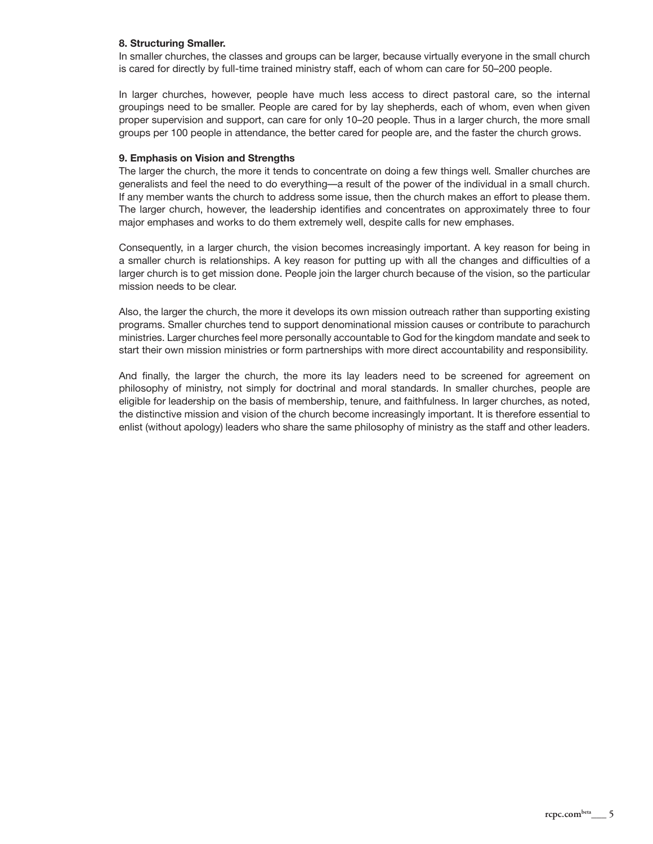## **8. Structuring Smaller.**

In smaller churches, the classes and groups can be larger, because virtually everyone in the small church is cared for directly by full-time trained ministry staff, each of whom can care for 50–200 people.

In larger churches, however, people have much less access to direct pastoral care, so the internal groupings need to be smaller. People are cared for by lay shepherds, each of whom, even when given proper supervision and support, can care for only 10–20 people. Thus in a larger church, the more small groups per 100 people in attendance, the better cared for people are, and the faster the church grows.

### **9. Emphasis on Vision and Strengths**

The larger the church, the more it tends to concentrate on doing a few things well*.* Smaller churches are generalists and feel the need to do everything—a result of the power of the individual in a small church. If any member wants the church to address some issue, then the church makes an effort to please them. The larger church, however, the leadership identifies and concentrates on approximately three to four major emphases and works to do them extremely well, despite calls for new emphases.

Consequently, in a larger church, the vision becomes increasingly important. A key reason for being in a smaller church is relationships. A key reason for putting up with all the changes and difficulties of a larger church is to get mission done. People join the larger church because of the vision, so the particular mission needs to be clear.

Also, the larger the church, the more it develops its own mission outreach rather than supporting existing programs. Smaller churches tend to support denominational mission causes or contribute to parachurch ministries. Larger churches feel more personally accountable to God for the kingdom mandate and seek to start their own mission ministries or form partnerships with more direct accountability and responsibility.

And finally, the larger the church, the more its lay leaders need to be screened for agreement on philosophy of ministry, not simply for doctrinal and moral standards. In smaller churches, people are eligible for leadership on the basis of membership, tenure, and faithfulness. In larger churches, as noted, the distinctive mission and vision of the church become increasingly important. It is therefore essential to enlist (without apology) leaders who share the same philosophy of ministry as the staff and other leaders.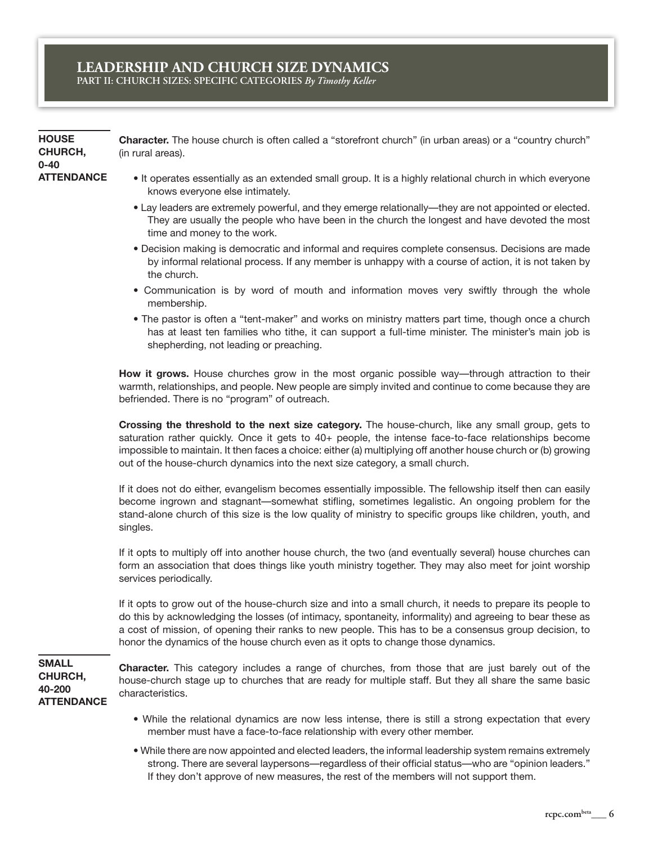**HOUSE CHURCH, 0-40 ATTENDANCE** **Character.** The house church is often called a "storefront church" (in urban areas) or a "country church" (in rural areas).

- It operates essentially as an extended small group. It is a highly relational church in which everyone knows everyone else intimately.
- Lay leaders are extremely powerful, and they emerge relationally—they are not appointed or elected. They are usually the people who have been in the church the longest and have devoted the most time and money to the work.
- Decision making is democratic and informal and requires complete consensus. Decisions are made by informal relational process. If any member is unhappy with a course of action, it is not taken by the church.
- Communication is by word of mouth and information moves very swiftly through the whole membership.
- The pastor is often a "tent-maker" and works on ministry matters part time, though once a church has at least ten families who tithe, it can support a full-time minister. The minister's main job is shepherding, not leading or preaching.

**How it grows.** House churches grow in the most organic possible way—through attraction to their warmth, relationships, and people. New people are simply invited and continue to come because they are befriended. There is no "program" of outreach.

**Crossing the threshold to the next size category.** The house-church, like any small group, gets to saturation rather quickly. Once it gets to 40+ people, the intense face-to-face relationships become impossible to maintain. It then faces a choice: either (a) multiplying off another house church or (b) growing out of the house-church dynamics into the next size category, a small church.

If it does not do either, evangelism becomes essentially impossible. The fellowship itself then can easily become ingrown and stagnant—somewhat stifling, sometimes legalistic. An ongoing problem for the stand-alone church of this size is the low quality of ministry to specific groups like children, youth, and singles.

If it opts to multiply off into another house church, the two (and eventually several) house churches can form an association that does things like youth ministry together. They may also meet for joint worship services periodically.

If it opts to grow out of the house-church size and into a small church, it needs to prepare its people to do this by acknowledging the losses (of intimacy, spontaneity, informality) and agreeing to bear these as a cost of mission, of opening their ranks to new people. This has to be a consensus group decision, to honor the dynamics of the house church even as it opts to change those dynamics.

**SMALL CHURCH, 40-200 ATTENDANCE**

**Character.** This category includes a range of churches, from those that are just barely out of the house-church stage up to churches that are ready for multiple staff. But they all share the same basic characteristics.

- While the relational dynamics are now less intense, there is still a strong expectation that every member must have a face-to-face relationship with every other member.
- While there are now appointed and elected leaders, the informal leadership system remains extremely strong. There are several laypersons—regardless of their official status—who are "opinion leaders." If they don't approve of new measures, the rest of the members will not support them.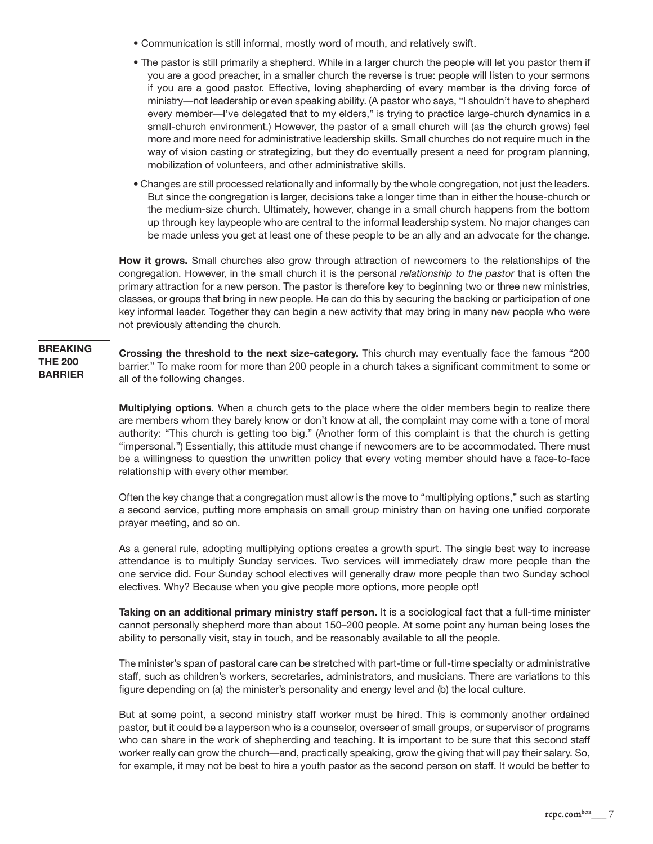- Communication is still informal, mostly word of mouth, and relatively swift.
- The pastor is still primarily a shepherd. While in a larger church the people will let you pastor them if you are a good preacher, in a smaller church the reverse is true: people will listen to your sermons if you are a good pastor. Effective, loving shepherding of every member is the driving force of ministry—not leadership or even speaking ability. (A pastor who says, "I shouldn't have to shepherd every member—I've delegated that to my elders," is trying to practice large-church dynamics in a small-church environment.) However, the pastor of a small church will (as the church grows) feel more and more need for administrative leadership skills. Small churches do not require much in the way of vision casting or strategizing, but they do eventually present a need for program planning, mobilization of volunteers, and other administrative skills.
- Changes are still processed relationally and informally by the whole congregation, not just the leaders. But since the congregation is larger, decisions take a longer time than in either the house-church or the medium-size church. Ultimately, however, change in a small church happens from the bottom up through key laypeople who are central to the informal leadership system. No major changes can be made unless you get at least one of these people to be an ally and an advocate for the change.

**How it grows.** Small churches also grow through attraction of newcomers to the relationships of the congregation. However, in the small church it is the personal *relationship to the pastor* that is often the primary attraction for a new person. The pastor is therefore key to beginning two or three new ministries, classes, or groups that bring in new people. He can do this by securing the backing or participation of one key informal leader. Together they can begin a new activity that may bring in many new people who were not previously attending the church.

**Crossing the threshold to the next size-category.** This church may eventually face the famous "200 barrier." To make room for more than 200 people in a church takes a significant commitment to some or all of the following changes. **BREAKING THE 200 BARRIER**

> **Multiplying options***.* When a church gets to the place where the older members begin to realize there are members whom they barely know or don't know at all, the complaint may come with a tone of moral authority: "This church is getting too big." (Another form of this complaint is that the church is getting "impersonal.") Essentially, this attitude must change if newcomers are to be accommodated. There must be a willingness to question the unwritten policy that every voting member should have a face-to-face relationship with every other member.

> Often the key change that a congregation must allow is the move to "multiplying options," such as starting a second service, putting more emphasis on small group ministry than on having one unified corporate prayer meeting, and so on.

> As a general rule, adopting multiplying options creates a growth spurt. The single best way to increase attendance is to multiply Sunday services. Two services will immediately draw more people than the one service did. Four Sunday school electives will generally draw more people than two Sunday school electives. Why? Because when you give people more options, more people opt!

> **Taking on an additional primary ministry staff person.** It is a sociological fact that a full-time minister cannot personally shepherd more than about 150–200 people. At some point any human being loses the ability to personally visit, stay in touch, and be reasonably available to all the people.

> The minister's span of pastoral care can be stretched with part-time or full-time specialty or administrative staff, such as children's workers, secretaries, administrators, and musicians. There are variations to this figure depending on (a) the minister's personality and energy level and (b) the local culture.

> But at some point, a second ministry staff worker must be hired. This is commonly another ordained pastor, but it could be a layperson who is a counselor, overseer of small groups, or supervisor of programs who can share in the work of shepherding and teaching. It is important to be sure that this second staff worker really can grow the church—and, practically speaking, grow the giving that will pay their salary. So, for example, it may not be best to hire a youth pastor as the second person on staff. It would be better to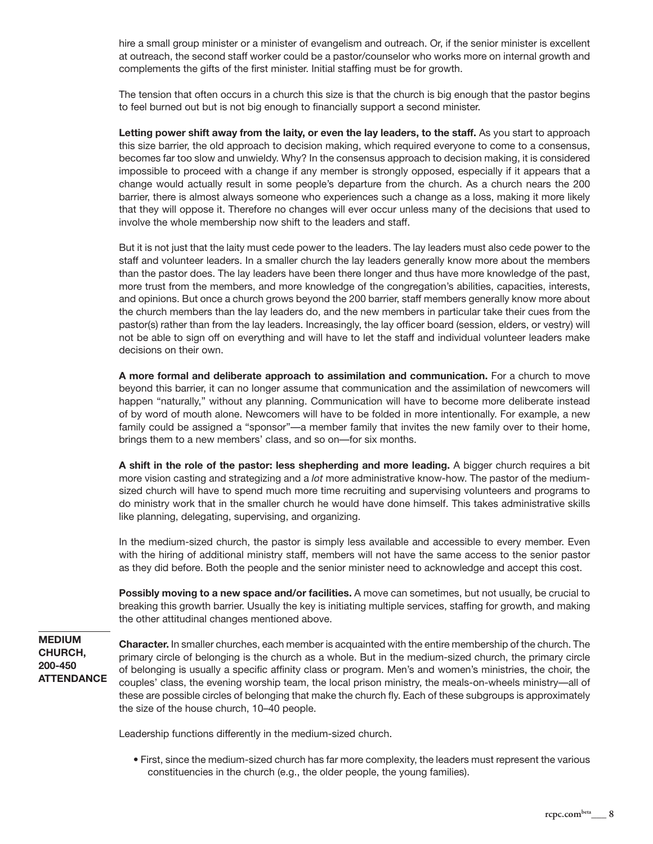hire a small group minister or a minister of evangelism and outreach. Or, if the senior minister is excellent at outreach, the second staff worker could be a pastor/counselor who works more on internal growth and complements the gifts of the first minister. Initial staffing must be for growth.

The tension that often occurs in a church this size is that the church is big enough that the pastor begins to feel burned out but is not big enough to financially support a second minister.

**Letting power shift away from the laity, or even the lay leaders, to the staff.** As you start to approach this size barrier, the old approach to decision making, which required everyone to come to a consensus, becomes far too slow and unwieldy. Why? In the consensus approach to decision making, it is considered impossible to proceed with a change if any member is strongly opposed, especially if it appears that a change would actually result in some people's departure from the church. As a church nears the 200 barrier, there is almost always someone who experiences such a change as a loss, making it more likely that they will oppose it. Therefore no changes will ever occur unless many of the decisions that used to involve the whole membership now shift to the leaders and staff.

But it is not just that the laity must cede power to the leaders. The lay leaders must also cede power to the staff and volunteer leaders. In a smaller church the lay leaders generally know more about the members than the pastor does. The lay leaders have been there longer and thus have more knowledge of the past, more trust from the members, and more knowledge of the congregation's abilities, capacities, interests, and opinions. But once a church grows beyond the 200 barrier, staff members generally know more about the church members than the lay leaders do, and the new members in particular take their cues from the pastor(s) rather than from the lay leaders. Increasingly, the lay officer board (session, elders, or vestry) will not be able to sign off on everything and will have to let the staff and individual volunteer leaders make decisions on their own.

**A more formal and deliberate approach to assimilation and communication.** For a church to move beyond this barrier, it can no longer assume that communication and the assimilation of newcomers will happen "naturally," without any planning. Communication will have to become more deliberate instead of by word of mouth alone. Newcomers will have to be folded in more intentionally. For example, a new family could be assigned a "sponsor"—a member family that invites the new family over to their home, brings them to a new members' class, and so on—for six months.

**A shift in the role of the pastor: less shepherding and more leading.** A bigger church requires a bit more vision casting and strategizing and a *lot* more administrative know-how. The pastor of the mediumsized church will have to spend much more time recruiting and supervising volunteers and programs to do ministry work that in the smaller church he would have done himself. This takes administrative skills like planning, delegating, supervising, and organizing.

In the medium-sized church, the pastor is simply less available and accessible to every member. Even with the hiring of additional ministry staff, members will not have the same access to the senior pastor as they did before. Both the people and the senior minister need to acknowledge and accept this cost.

**Possibly moving to a new space and/or facilities.** A move can sometimes, but not usually, be crucial to breaking this growth barrier. Usually the key is initiating multiple services, staffing for growth, and making the other attitudinal changes mentioned above.

# **MEDIUM CHURCH, 200-450 ATTENDANCE**

**Character.** In smaller churches, each member is acquainted with the entire membership of the church. The primary circle of belonging is the church as a whole. But in the medium-sized church, the primary circle of belonging is usually a specific affinity class or program. Men's and women's ministries, the choir, the couples' class, the evening worship team, the local prison ministry, the meals-on-wheels ministry—all of these are possible circles of belonging that make the church fly. Each of these subgroups is approximately the size of the house church, 10–40 people.

Leadership functions differently in the medium-sized church.

• First, since the medium-sized church has far more complexity, the leaders must represent the various constituencies in the church (e.g., the older people, the young families).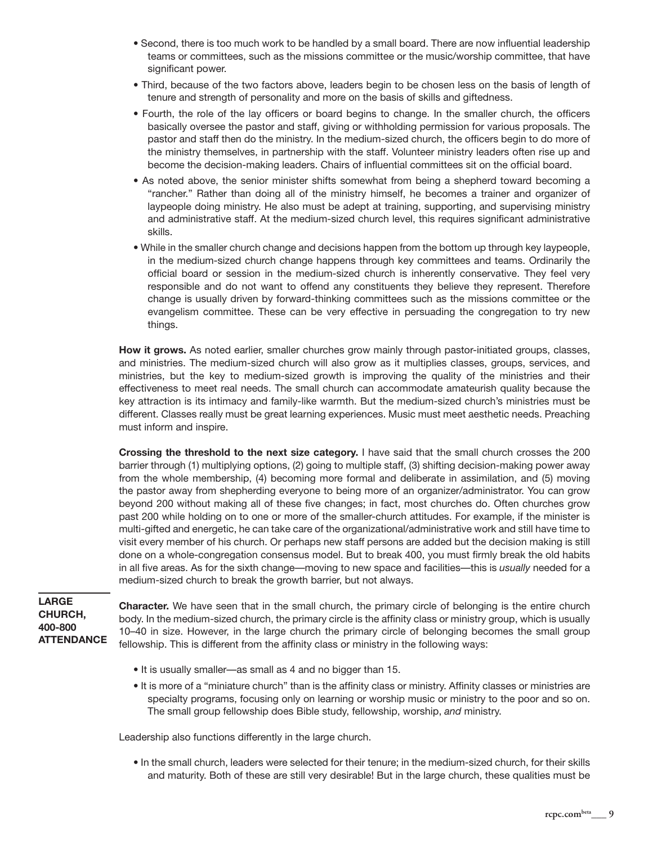- Second, there is too much work to be handled by a small board. There are now influential leadership teams or committees, such as the missions committee or the music/worship committee, that have significant power.
- Third, because of the two factors above, leaders begin to be chosen less on the basis of length of tenure and strength of personality and more on the basis of skills and giftedness.
- Fourth, the role of the lay officers or board begins to change. In the smaller church, the officers basically oversee the pastor and staff, giving or withholding permission for various proposals. The pastor and staff then do the ministry. In the medium-sized church, the officers begin to do more of the ministry themselves, in partnership with the staff. Volunteer ministry leaders often rise up and become the decision-making leaders. Chairs of influential committees sit on the official board.
- As noted above, the senior minister shifts somewhat from being a shepherd toward becoming a "rancher." Rather than doing all of the ministry himself, he becomes a trainer and organizer of laypeople doing ministry. He also must be adept at training, supporting, and supervising ministry and administrative staff. At the medium-sized church level, this requires significant administrative skills.
- While in the smaller church change and decisions happen from the bottom up through key laypeople, in the medium-sized church change happens through key committees and teams. Ordinarily the official board or session in the medium-sized church is inherently conservative. They feel very responsible and do not want to offend any constituents they believe they represent. Therefore change is usually driven by forward-thinking committees such as the missions committee or the evangelism committee. These can be very effective in persuading the congregation to try new things.

**How it grows.** As noted earlier, smaller churches grow mainly through pastor-initiated groups, classes, and ministries. The medium-sized church will also grow as it multiplies classes, groups, services, and ministries, but the key to medium-sized growth is improving the quality of the ministries and their effectiveness to meet real needs. The small church can accommodate amateurish quality because the key attraction is its intimacy and family-like warmth. But the medium-sized church's ministries must be different. Classes really must be great learning experiences. Music must meet aesthetic needs. Preaching must inform and inspire.

**Crossing the threshold to the next size category.** I have said that the small church crosses the 200 barrier through (1) multiplying options, (2) going to multiple staff, (3) shifting decision-making power away from the whole membership, (4) becoming more formal and deliberate in assimilation, and (5) moving the pastor away from shepherding everyone to being more of an organizer/administrator. You can grow beyond 200 without making all of these five changes; in fact, most churches do. Often churches grow past 200 while holding on to one or more of the smaller-church attitudes. For example, if the minister is multi-gifted and energetic, he can take care of the organizational/administrative work and still have time to visit every member of his church. Or perhaps new staff persons are added but the decision making is still done on a whole-congregation consensus model. But to break 400, you must firmly break the old habits in all five areas. As for the sixth change—moving to new space and facilities—this is *usually* needed for a medium-sized church to break the growth barrier, but not always.

**LARGE CHURCH, 400-800 ATTENDANCE**

**Character.** We have seen that in the small church, the primary circle of belonging is the entire church body. In the medium-sized church, the primary circle is the affinity class or ministry group, which is usually 10–40 in size. However, in the large church the primary circle of belonging becomes the small group fellowship. This is different from the affinity class or ministry in the following ways:

- It is usually smaller—as small as 4 and no bigger than 15.
- It is more of a "miniature church" than is the affinity class or ministry. Affinity classes or ministries are specialty programs, focusing only on learning or worship music or ministry to the poor and so on. The small group fellowship does Bible study, fellowship, worship, *and* ministry.

Leadership also functions differently in the large church.

• In the small church, leaders were selected for their tenure; in the medium-sized church, for their skills and maturity. Both of these are still very desirable! But in the large church, these qualities must be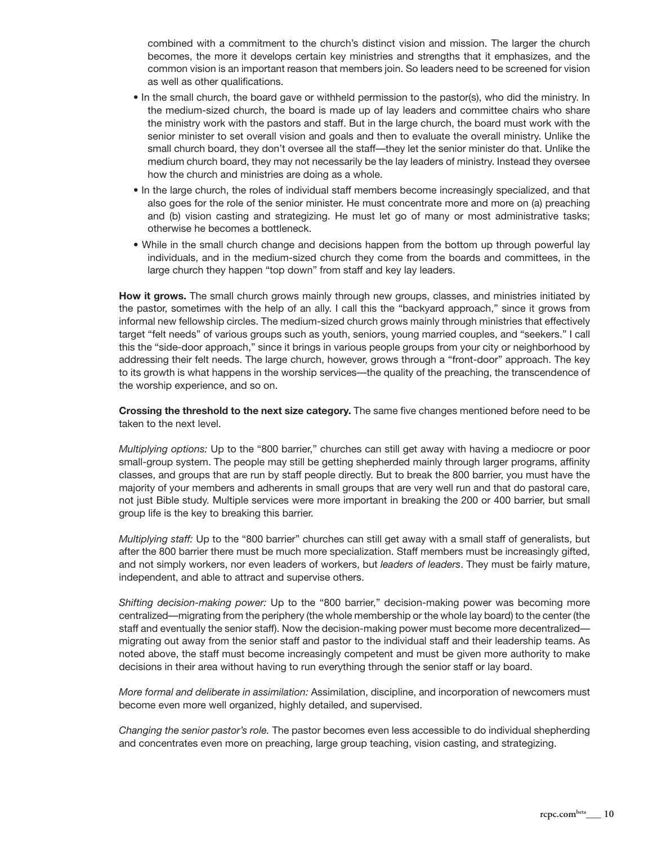combined with a commitment to the church's distinct vision and mission. The larger the church becomes, the more it develops certain key ministries and strengths that it emphasizes, and the common vision is an important reason that members join. So leaders need to be screened for vision as well as other qualifications.

- In the small church, the board gave or withheld permission to the pastor(s), who did the ministry. In the medium-sized church, the board is made up of lay leaders and committee chairs who share the ministry work with the pastors and staff. But in the large church, the board must work with the senior minister to set overall vision and goals and then to evaluate the overall ministry. Unlike the small church board, they don't oversee all the staff—they let the senior minister do that. Unlike the medium church board, they may not necessarily be the lay leaders of ministry. Instead they oversee how the church and ministries are doing as a whole.
- In the large church, the roles of individual staff members become increasingly specialized, and that also goes for the role of the senior minister. He must concentrate more and more on (a) preaching and (b) vision casting and strategizing. He must let go of many or most administrative tasks; otherwise he becomes a bottleneck.
- While in the small church change and decisions happen from the bottom up through powerful lay individuals, and in the medium-sized church they come from the boards and committees, in the large church they happen "top down" from staff and key lay leaders.

**How it grows.** The small church grows mainly through new groups, classes, and ministries initiated by the pastor, sometimes with the help of an ally. I call this the "backyard approach," since it grows from informal new fellowship circles. The medium-sized church grows mainly through ministries that effectively target "felt needs" of various groups such as youth, seniors, young married couples, and "seekers." I call this the "side-door approach," since it brings in various people groups from your city or neighborhood by addressing their felt needs. The large church, however, grows through a "front-door" approach. The key to its growth is what happens in the worship services—the quality of the preaching, the transcendence of the worship experience, and so on.

**Crossing the threshold to the next size category.** The same five changes mentioned before need to be taken to the next level.

*Multiplying options:* Up to the "800 barrier," churches can still get away with having a mediocre or poor small-group system. The people may still be getting shepherded mainly through larger programs, affinity classes, and groups that are run by staff people directly. But to break the 800 barrier, you must have the majority of your members and adherents in small groups that are very well run and that do pastoral care, not just Bible study. Multiple services were more important in breaking the 200 or 400 barrier, but small group life is the key to breaking this barrier.

*Multiplying staff:* Up to the "800 barrier" churches can still get away with a small staff of generalists, but after the 800 barrier there must be much more specialization. Staff members must be increasingly gifted, and not simply workers, nor even leaders of workers, but *leaders of leaders*. They must be fairly mature, independent, and able to attract and supervise others.

*Shifting decision-making power:* Up to the "800 barrier," decision-making power was becoming more centralized—migrating from the periphery (the whole membership or the whole lay board) to the center (the staff and eventually the senior staff). Now the decision-making power must become more decentralized migrating out away from the senior staff and pastor to the individual staff and their leadership teams. As noted above, the staff must become increasingly competent and must be given more authority to make decisions in their area without having to run everything through the senior staff or lay board.

*More formal and deliberate in assimilation:* Assimilation, discipline, and incorporation of newcomers must become even more well organized, highly detailed, and supervised.

*Changing the senior pastor's role.* The pastor becomes even less accessible to do individual shepherding and concentrates even more on preaching, large group teaching, vision casting, and strategizing.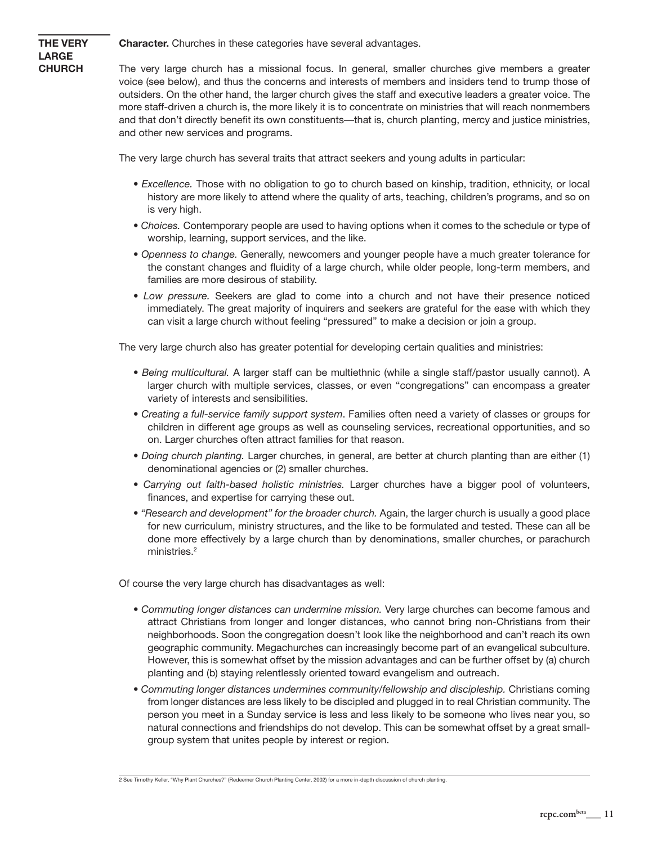**Character.** Churches in these categories have several advantages.

**THE VERY LARGE CHURCH**

The very large church has a missional focus. In general, smaller churches give members a greater voice (see below), and thus the concerns and interests of members and insiders tend to trump those of outsiders. On the other hand, the larger church gives the staff and executive leaders a greater voice. The more staff-driven a church is, the more likely it is to concentrate on ministries that will reach nonmembers and that don't directly benefit its own constituents—that is, church planting, mercy and justice ministries, and other new services and programs.

The very large church has several traits that attract seekers and young adults in particular:

- *Excellence.* Those with no obligation to go to church based on kinship, tradition, ethnicity, or local history are more likely to attend where the quality of arts, teaching, children's programs, and so on is very high.
- *Choices.* Contemporary people are used to having options when it comes to the schedule or type of worship, learning, support services, and the like.
- *Openness to change.* Generally, newcomers and younger people have a much greater tolerance for the constant changes and fluidity of a large church, while older people, long-term members, and families are more desirous of stability.
- *Low pressure.* Seekers are glad to come into a church and not have their presence noticed immediately. The great majority of inquirers and seekers are grateful for the ease with which they can visit a large church without feeling "pressured" to make a decision or join a group.

The very large church also has greater potential for developing certain qualities and ministries:

- *Being multicultural.* A larger staff can be multiethnic (while a single staff/pastor usually cannot). A larger church with multiple services, classes, or even "congregations" can encompass a greater variety of interests and sensibilities.
- *Creating a full-service family support system*. Families often need a variety of classes or groups for children in different age groups as well as counseling services, recreational opportunities, and so on. Larger churches often attract families for that reason.
- *Doing church planting.* Larger churches, in general, are better at church planting than are either (1) denominational agencies or (2) smaller churches.
- *Carrying out faith-based holistic ministries.* Larger churches have a bigger pool of volunteers, finances, and expertise for carrying these out.
- *"Research and development" for the broader church.* Again, the larger church is usually a good place for new curriculum, ministry structures, and the like to be formulated and tested. These can all be done more effectively by a large church than by denominations, smaller churches, or parachurch ministries.<sup>2</sup>

Of course the very large church has disadvantages as well:

- *Commuting longer distances can undermine mission.* Very large churches can become famous and attract Christians from longer and longer distances, who cannot bring non-Christians from their neighborhoods. Soon the congregation doesn't look like the neighborhood and can't reach its own geographic community. Megachurches can increasingly become part of an evangelical subculture. However, this is somewhat offset by the mission advantages and can be further offset by (a) church planting and (b) staying relentlessly oriented toward evangelism and outreach.
- *Commuting longer distances undermines community/fellowship and discipleship.* Christians coming from longer distances are less likely to be discipled and plugged in to real Christian community. The person you meet in a Sunday service is less and less likely to be someone who lives near you, so natural connections and friendships do not develop. This can be somewhat offset by a great smallgroup system that unites people by interest or region.

<sup>2</sup> See Timothy Keller, "Why Plant Churches?" (Redeemer Church Planting Center, 2002) for a more in-depth discussion of church planting.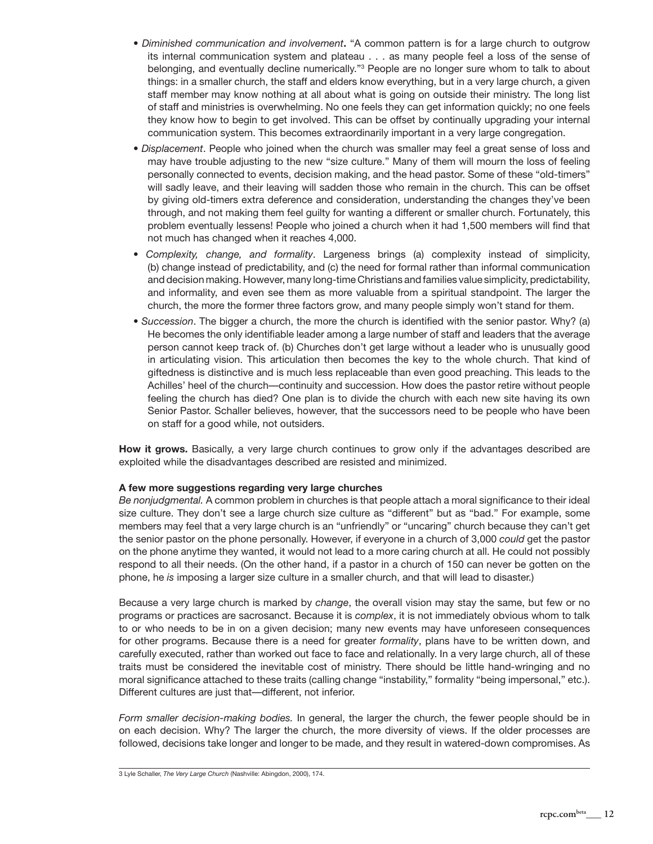- *Diminished communication and involvement***.** "A common pattern is for a large church to outgrow its internal communication system and plateau . . . as many people feel a loss of the sense of belonging, and eventually decline numerically."<sup>3</sup> People are no longer sure whom to talk to about things: in a smaller church, the staff and elders know everything, but in a very large church, a given staff member may know nothing at all about what is going on outside their ministry. The long list of staff and ministries is overwhelming. No one feels they can get information quickly; no one feels they know how to begin to get involved. This can be offset by continually upgrading your internal communication system. This becomes extraordinarily important in a very large congregation.
- *Displacement*. People who joined when the church was smaller may feel a great sense of loss and may have trouble adjusting to the new "size culture." Many of them will mourn the loss of feeling personally connected to events, decision making, and the head pastor. Some of these "old-timers" will sadly leave, and their leaving will sadden those who remain in the church. This can be offset by giving old-timers extra deference and consideration, understanding the changes they've been through, and not making them feel guilty for wanting a different or smaller church. Fortunately, this problem eventually lessens! People who joined a church when it had 1,500 members will find that not much has changed when it reaches 4,000.
- *Complexity, change, and formality*. Largeness brings (a) complexity instead of simplicity, (b) change instead of predictability, and (c) the need for formal rather than informal communication and decision making. However, many long-time Christians and families value simplicity, predictability, and informality, and even see them as more valuable from a spiritual standpoint. The larger the church, the more the former three factors grow, and many people simply won't stand for them.
- *Succession*. The bigger a church, the more the church is identified with the senior pastor. Why? (a) He becomes the only identifiable leader among a large number of staff and leaders that the average person cannot keep track of. (b) Churches don't get large without a leader who is unusually good in articulating vision. This articulation then becomes the key to the whole church. That kind of giftedness is distinctive and is much less replaceable than even good preaching. This leads to the Achilles' heel of the church—continuity and succession. How does the pastor retire without people feeling the church has died? One plan is to divide the church with each new site having its own Senior Pastor. Schaller believes, however, that the successors need to be people who have been on staff for a good while, not outsiders.

**How it grows.** Basically, a very large church continues to grow only if the advantages described are exploited while the disadvantages described are resisted and minimized.

### **A few more suggestions regarding very large churches**

*Be nonjudgmental.* A common problem in churches is that people attach a moral significance to their ideal size culture. They don't see a large church size culture as "different" but as "bad." For example, some members may feel that a very large church is an "unfriendly" or "uncaring" church because they can't get the senior pastor on the phone personally. However, if everyone in a church of 3,000 *could* get the pastor on the phone anytime they wanted, it would not lead to a more caring church at all. He could not possibly respond to all their needs. (On the other hand, if a pastor in a church of 150 can never be gotten on the phone, he *is* imposing a larger size culture in a smaller church, and that will lead to disaster.)

Because a very large church is marked by *change*, the overall vision may stay the same, but few or no programs or practices are sacrosanct. Because it is *complex*, it is not immediately obvious whom to talk to or who needs to be in on a given decision; many new events may have unforeseen consequences for other programs. Because there is a need for greater *formality*, plans have to be written down, and carefully executed, rather than worked out face to face and relationally. In a very large church, all of these traits must be considered the inevitable cost of ministry. There should be little hand-wringing and no moral significance attached to these traits (calling change "instability," formality "being impersonal," etc.). Different cultures are just that—different, not inferior.

*Form smaller decision-making bodies.* In general, the larger the church, the fewer people should be in on each decision. Why? The larger the church, the more diversity of views. If the older processes are followed, decisions take longer and longer to be made, and they result in watered-down compromises. As

3 Lyle Schaller, *The Very Large Church* (Nashville: Abingdon, 2000), 174.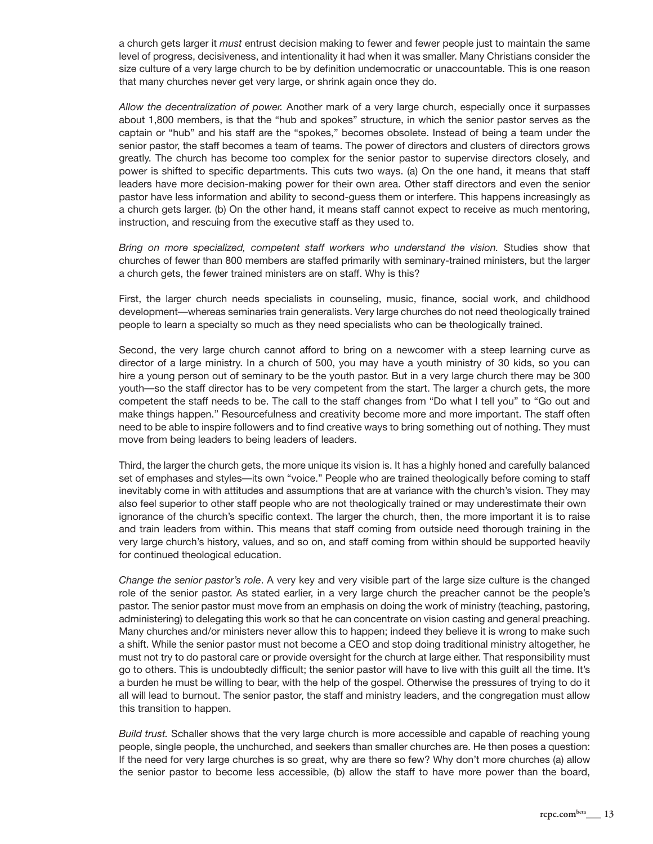a church gets larger it *must* entrust decision making to fewer and fewer people just to maintain the same level of progress, decisiveness, and intentionality it had when it was smaller. Many Christians consider the size culture of a very large church to be by definition undemocratic or unaccountable. This is one reason that many churches never get very large, or shrink again once they do.

*Allow the decentralization of power.* Another mark of a very large church, especially once it surpasses about 1,800 members, is that the "hub and spokes" structure, in which the senior pastor serves as the captain or "hub" and his staff are the "spokes," becomes obsolete. Instead of being a team under the senior pastor, the staff becomes a team of teams. The power of directors and clusters of directors grows greatly. The church has become too complex for the senior pastor to supervise directors closely, and power is shifted to specific departments. This cuts two ways. (a) On the one hand, it means that staff leaders have more decision-making power for their own area. Other staff directors and even the senior pastor have less information and ability to second-guess them or interfere. This happens increasingly as a church gets larger. (b) On the other hand, it means staff cannot expect to receive as much mentoring, instruction, and rescuing from the executive staff as they used to.

*Bring on more specialized, competent staff workers who understand the vision.* Studies show that churches of fewer than 800 members are staffed primarily with seminary-trained ministers, but the larger a church gets, the fewer trained ministers are on staff. Why is this?

First, the larger church needs specialists in counseling, music, finance, social work, and childhood development—whereas seminaries train generalists. Very large churches do not need theologically trained people to learn a specialty so much as they need specialists who can be theologically trained.

Second, the very large church cannot afford to bring on a newcomer with a steep learning curve as director of a large ministry. In a church of 500, you may have a youth ministry of 30 kids, so you can hire a young person out of seminary to be the youth pastor. But in a very large church there may be 300 youth—so the staff director has to be very competent from the start. The larger a church gets, the more competent the staff needs to be. The call to the staff changes from "Do what I tell you" to "Go out and make things happen." Resourcefulness and creativity become more and more important. The staff often need to be able to inspire followers and to find creative ways to bring something out of nothing. They must move from being leaders to being leaders of leaders.

Third, the larger the church gets, the more unique its vision is. It has a highly honed and carefully balanced set of emphases and styles—its own "voice." People who are trained theologically before coming to staff inevitably come in with attitudes and assumptions that are at variance with the church's vision. They may also feel superior to other staff people who are not theologically trained or may underestimate their own ignorance of the church's specific context. The larger the church, then, the more important it is to raise and train leaders from within. This means that staff coming from outside need thorough training in the very large church's history, values, and so on, and staff coming from within should be supported heavily for continued theological education.

*Change the senior pastor's role*. A very key and very visible part of the large size culture is the changed role of the senior pastor. As stated earlier, in a very large church the preacher cannot be the people's pastor. The senior pastor must move from an emphasis on doing the work of ministry (teaching, pastoring, administering) to delegating this work so that he can concentrate on vision casting and general preaching. Many churches and/or ministers never allow this to happen; indeed they believe it is wrong to make such a shift. While the senior pastor must not become a CEO and stop doing traditional ministry altogether, he must not try to do pastoral care or provide oversight for the church at large either. That responsibility must go to others. This is undoubtedly difficult; the senior pastor will have to live with this guilt all the time. It's a burden he must be willing to bear, with the help of the gospel. Otherwise the pressures of trying to do it all will lead to burnout. The senior pastor, the staff and ministry leaders, and the congregation must allow this transition to happen.

*Build trust.* Schaller shows that the very large church is more accessible and capable of reaching young people, single people, the unchurched, and seekers than smaller churches are. He then poses a question: If the need for very large churches is so great, why are there so few? Why don't more churches (a) allow the senior pastor to become less accessible, (b) allow the staff to have more power than the board,